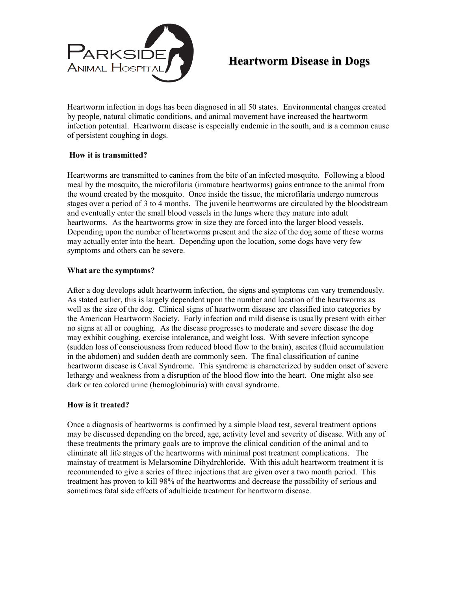

# **Heartworm Disease in Dogs**

Heartworm infection in dogs has been diagnosed in all 50 states. Environmental changes created by people, natural climatic conditions, and animal movement have increased the heartworm infection potential. Heartworm disease is especially endemic in the south, and is a common cause of persistent coughing in dogs.

## **How it is transmitted?**

Heartworms are transmitted to canines from the bite of an infected mosquito. Following a blood meal by the mosquito, the microfilaria (immature heartworms) gains entrance to the animal from the wound created by the mosquito. Once inside the tissue, the microfilaria undergo numerous stages over a period of 3 to 4 months. The juvenile heartworms are circulated by the bloodstream and eventually enter the small blood vessels in the lungs where they mature into adult heartworms. As the heartworms grow in size they are forced into the larger blood vessels. Depending upon the number of heartworms present and the size of the dog some of these worms may actually enter into the heart. Depending upon the location, some dogs have very few symptoms and others can be severe.

## **What are the symptoms?**

After a dog develops adult heartworm infection, the signs and symptoms can vary tremendously. As stated earlier, this is largely dependent upon the number and location of the heartworms as well as the size of the dog. Clinical signs of heartworm disease are classified into categories by the American Heartworm Society. Early infection and mild disease is usually present with either no signs at all or coughing. As the disease progresses to moderate and severe disease the dog may exhibit coughing, exercise intolerance, and weight loss. With severe infection syncope (sudden loss of consciousness from reduced blood flow to the brain), ascites (fluid accumulation in the abdomen) and sudden death are commonly seen. The final classification of canine heartworm disease is Caval Syndrome. This syndrome is characterized by sudden onset of severe lethargy and weakness from a disruption of the blood flow into the heart. One might also see dark or tea colored urine (hemoglobinuria) with caval syndrome.

#### **How is it treated?**

Once a diagnosis of heartworms is confirmed by a simple blood test, several treatment options may be discussed depending on the breed, age, activity level and severity of disease. With any of these treatments the primary goals are to improve the clinical condition of the animal and to eliminate all life stages of the heartworms with minimal post treatment complications. The mainstay of treatment is Melarsomine Dihydrchloride. With this adult heartworm treatment it is recommended to give a series of three injections that are given over a two month period. This treatment has proven to kill 98% of the heartworms and decrease the possibility of serious and sometimes fatal side effects of adulticide treatment for heartworm disease.